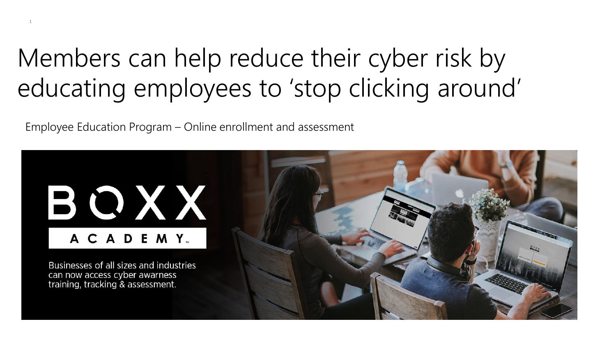## Members can help reduce their cyber risk by educating employees to 'stop clicking around'

Employee Education Program – Online enrollment and assessment

1

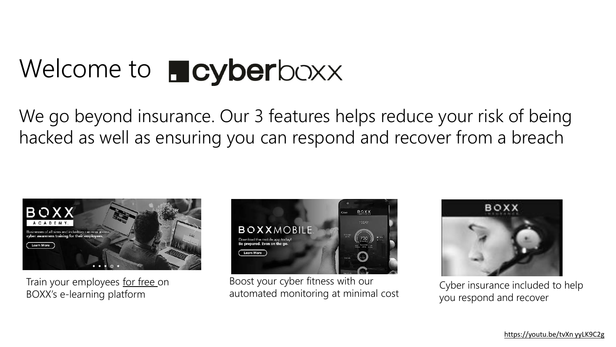# Welcome to **Ficyberboxx**

We go beyond insurance. Our 3 features helps reduce your risk of being hacked as well as ensuring you can respond and recover from a breach



Train your employees for free on BOXX's e-learning platform



Boost your cyber fitness with our automated monitoring at minimal cost



Cyber insurance included to help you respond and recover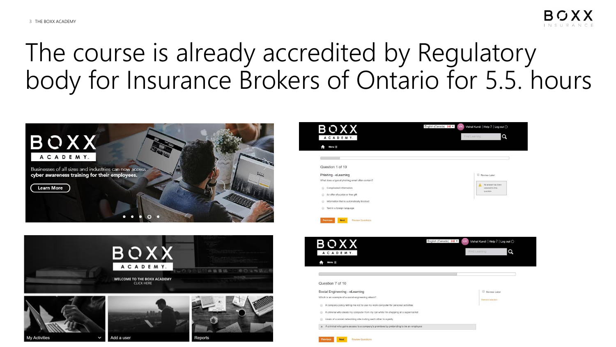## The course is already accredited by Regulatory body for Insurance Brokers of Ontario for 5.5. hours





| BOXX                                                      | English (Canada)      <br>Vishal Kundi   Help ?   Log out ()<br><b>VK</b>           |
|-----------------------------------------------------------|-------------------------------------------------------------------------------------|
| ACADEMY.                                                  | Q<br>Find Learning                                                                  |
| Menu $\equiv$                                             |                                                                                     |
|                                                           |                                                                                     |
| Question 1 of 10                                          |                                                                                     |
| Phishing - eLearning                                      | Review Later                                                                        |
| What does a typical phishing email often contain?         | No answer has been<br>A                                                             |
| Complicated information<br>6                              | selected for this<br>question.                                                      |
| An offer of a prize or free gift<br>0                     |                                                                                     |
| Information that is automatically blocked<br>Đ            |                                                                                     |
| Text in a foreign language<br>6                           |                                                                                     |
| <b>Previous</b><br><b>Next</b><br><b>Review Questions</b> |                                                                                     |
|                                                           |                                                                                     |
|                                                           |                                                                                     |
|                                                           | English (Canada)      <br>Vishal Kundi   Help ?   Log out $\circlearrowright$<br>VK |
| BOXX                                                      |                                                                                     |
| ACADEMY.                                                  | Q<br>Find Learning                                                                  |
|                                                           |                                                                                     |

| uestion 7 of 10                                                                     |                  |
|-------------------------------------------------------------------------------------|------------------|
| cial Engineering - eLearning                                                        | Review Later     |
| ich is an example of a social engineering attack?                                   | Remove selection |
| A company policy telling me not to use my work computer for personal activities     |                  |
| A criminal who steals my computer from my car while I'm shopping at a supermarket   |                  |
| Users of a social networking site inviting each other to a party                    |                  |
| A criminal who gains access to a company's premises by pretending to be an employee |                  |
|                                                                                     |                  |

**Review Questions**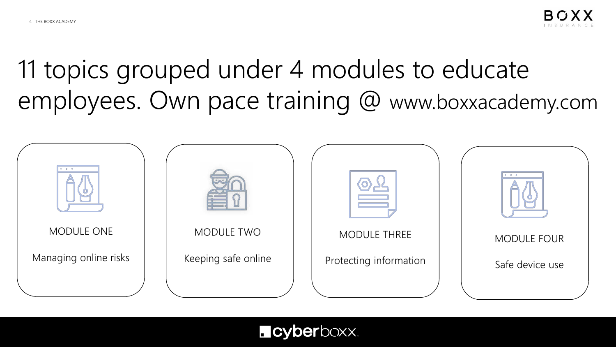11 topics grouped under 4 modules to educate employees. Own pace training @ www.boxxacademy.com



#### **L** cyberboxx.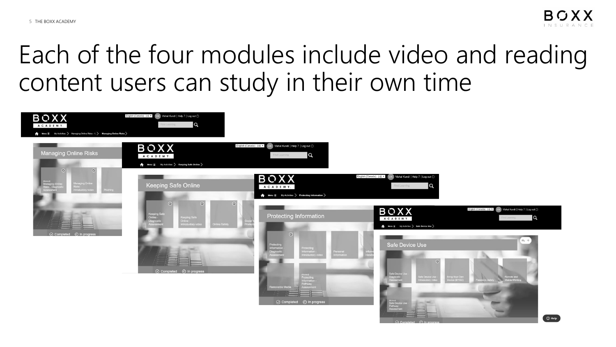## Each of the four modules include video and reading content users can study in their own time

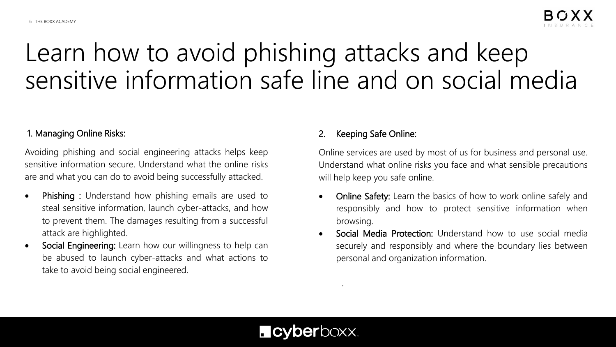## Learn how to avoid phishing attacks and keep sensitive information safe line and on social media

#### 1. Managing Online Risks:

Avoiding phishing and social engineering attacks helps keep sensitive information secure. Understand what the online risks are and what you can do to avoid being successfully attacked.

- Phishing : Understand how phishing emails are used to steal sensitive information, launch cyber-attacks, and how to prevent them. The damages resulting from a successful attack are highlighted.
- Social Engineering: Learn how our willingness to help can be abused to launch cyber-attacks and what actions to take to avoid being social engineered.

#### Keeping Safe Online:

Online services are used by most of us for business and personal use. Understand what online risks you face and what sensible precautions will help keep you safe online.

- Online Safety: Learn the basics of how to work online safely and responsibly and how to protect sensitive information when browsing.
- Social Media Protection: Understand how to use social media securely and responsibly and where the boundary lies between personal and organization information.

#### **L** cyberboxx.

.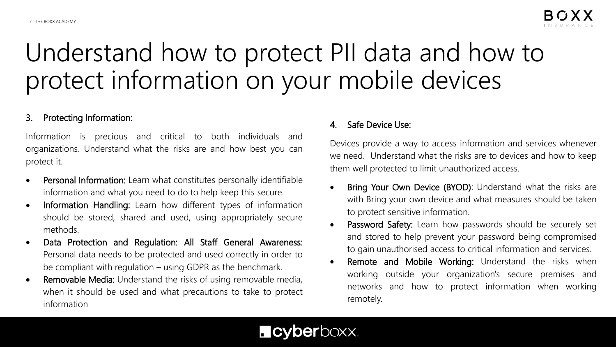## Understand how to protect PII data and how to protect information on your mobile devices

#### 3. Protecting Information:

Information is precious and critical to both individuals and organizations. Understand what the risks are and how best you can protect it.

- Personal Information: Learn what constitutes personally identifiable information and what you need to do to help keep this secure.
- Information Handling: Learn how different types of information should be stored, shared and used, using appropriately secure methods.
- Data Protection and Regulation: All Staff General Awareness: Personal data needs to be protected and used correctly in order to be compliant with regulation – using GDPR as the benchmark.
- Removable Media: Understand the risks of using removable media, when it should be used and what precautions to take to protect information

#### 4. Safe Device Use:

Devices provide a way to access information and services whenever we need. Understand what the risks are to devices and how to keep them well protected to limit unauthorized access.

- Bring Your Own Device (BYOD): Understand what the risks are with Bring your own device and what measures should be taken to protect sensitive information.
- Password Safety: Learn how passwords should be securely set and stored to help prevent your password being compromised to gain unauthorised access to critical information and services.
- Remote and Mobile Working: Understand the risks when working outside your organization's secure premises and networks and how to protect information when working remotely.

### **Ficyberboxx.**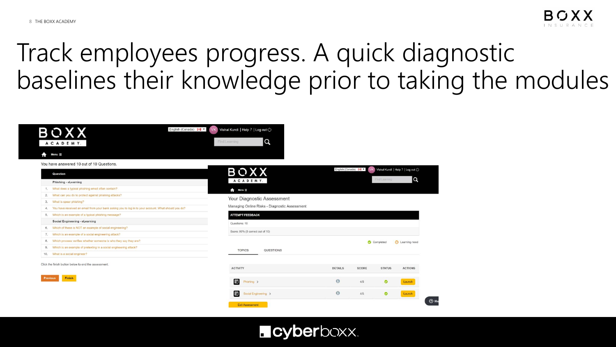## Track employees progress. A quick diagnostic baselines their knowledge prior to taking the modules



#### **L** cyberboxx.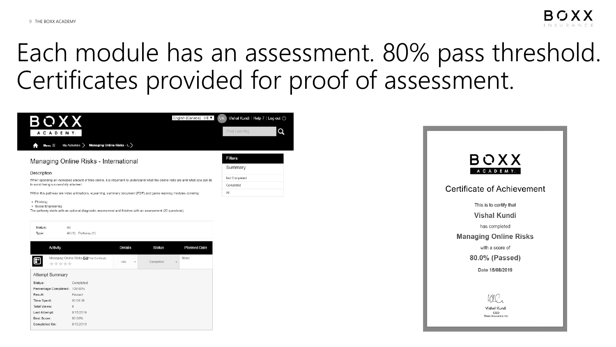## Each module has an assessment. 80% pass threshold. Certificates provided for proof of assessment.





| Activity              |                                             | Details                           | <b>Status</b>                         | <b>Planned Date</b> |
|-----------------------|---------------------------------------------|-----------------------------------|---------------------------------------|---------------------|
| *****                 | Managing Online Risks Cap Print Certificate | Info.<br>$\overline{\phantom{a}}$ | Completed<br>$\overline{\phantom{a}}$ | None                |
| Attempt Summary       |                                             |                                   |                                       |                     |
| Status:               | Completed                                   |                                   |                                       |                     |
| Percentage Completed: | 100.00%                                     |                                   |                                       |                     |
| Result:               | Passed                                      |                                   |                                       |                     |
| Time Spent:           | 00:08:36                                    |                                   |                                       |                     |
| Total Views:          | 6                                           |                                   |                                       |                     |
| Last Attempt:         | 8/15/2019                                   |                                   |                                       |                     |
| Best Score:           | 80.00%                                      |                                   |                                       |                     |
| Completed On:         | 8/15/2019                                   |                                   |                                       |                     |

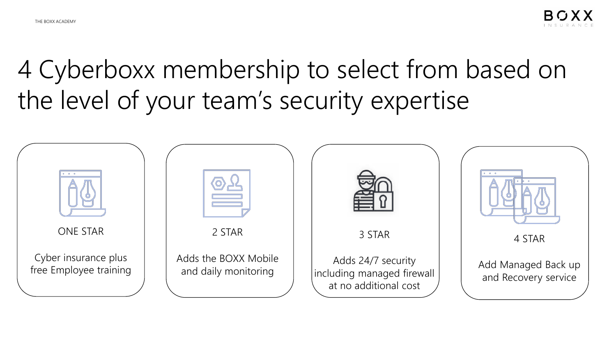4 Cyberboxx membership to select from based on the level of your team's security expertise